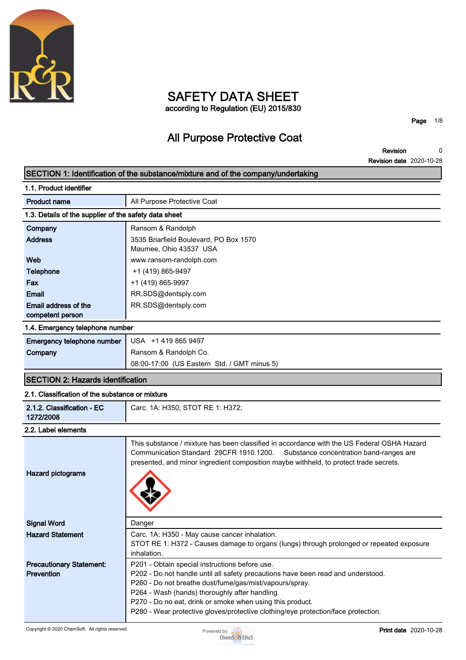

### **SAFETY DATA SHEET according to Regulation (EU) 2015/830**

**Page 1/8**

# **All Purpose Protective Coat**

**Revision Revision date 2020-10-28 0**

|                                                       | SECTION 1: Identification of the substance/mixture and of the company/undertaking                                                                                                                                                                                                                                                                                                                 |
|-------------------------------------------------------|---------------------------------------------------------------------------------------------------------------------------------------------------------------------------------------------------------------------------------------------------------------------------------------------------------------------------------------------------------------------------------------------------|
| 1.1. Product identifier                               |                                                                                                                                                                                                                                                                                                                                                                                                   |
| <b>Product name</b>                                   | All Purpose Protective Coat                                                                                                                                                                                                                                                                                                                                                                       |
| 1.3. Details of the supplier of the safety data sheet |                                                                                                                                                                                                                                                                                                                                                                                                   |
| Company                                               | Ransom & Randolph                                                                                                                                                                                                                                                                                                                                                                                 |
| <b>Address</b>                                        | 3535 Briarfield Boulevard, PO Box 1570<br>Maumee, Ohio 43537 USA                                                                                                                                                                                                                                                                                                                                  |
| Web                                                   | www.ransom-randolph.com                                                                                                                                                                                                                                                                                                                                                                           |
| <b>Telephone</b>                                      | +1 (419) 865-9497                                                                                                                                                                                                                                                                                                                                                                                 |
| Fax                                                   | +1 (419) 865-9997                                                                                                                                                                                                                                                                                                                                                                                 |
| Email                                                 | RR.SDS@dentsply.com                                                                                                                                                                                                                                                                                                                                                                               |
| Email address of the<br>competent person              | RR.SDS@dentsply.com                                                                                                                                                                                                                                                                                                                                                                               |
| 1.4. Emergency telephone number                       |                                                                                                                                                                                                                                                                                                                                                                                                   |
| Emergency telephone number                            | USA +1 419 865 9497                                                                                                                                                                                                                                                                                                                                                                               |
| Company                                               | Ransom & Randolph Co.                                                                                                                                                                                                                                                                                                                                                                             |
|                                                       | 08:00-17:00 (US Eastern Std. / GMT minus 5)                                                                                                                                                                                                                                                                                                                                                       |
| <b>SECTION 2: Hazards identification</b>              |                                                                                                                                                                                                                                                                                                                                                                                                   |
| 2.1. Classification of the substance or mixture       |                                                                                                                                                                                                                                                                                                                                                                                                   |
| 2.1.2. Classification - EC<br>1272/2008               | Carc. 1A: H350; STOT RE 1: H372;                                                                                                                                                                                                                                                                                                                                                                  |
| 2.2. Label elements                                   |                                                                                                                                                                                                                                                                                                                                                                                                   |
| <b>Hazard pictograms</b>                              | This substance / mixture has been classified in accordance with the US Federal OSHA Hazard<br>Communication Standard 29CFR 1910.1200.<br>Substance concentration band-ranges are<br>presented, and minor ingredient composition maybe withheld, to protect trade secrets.                                                                                                                         |
| <b>Signal Word</b>                                    | Danger                                                                                                                                                                                                                                                                                                                                                                                            |
| <b>Hazard Statement</b>                               | Carc. 1A: H350 - May cause cancer inhalation.<br>STOT RE 1: H372 - Causes damage to organs (lungs) through prolonged or repeated exposure<br>inhalation.                                                                                                                                                                                                                                          |
| <b>Precautionary Statement:</b><br>Prevention         | P201 - Obtain special instructions before use.<br>P202 - Do not handle until all safety precautions have been read and understood.<br>P260 - Do not breathe dust/fume/gas/mist/vapours/spray.<br>P264 - Wash (hands) thoroughly after handling.<br>P270 - Do no eat, drink or smoke when using this product.<br>P280 - Wear protective gloves/protective clothing/eye protection/face protection. |

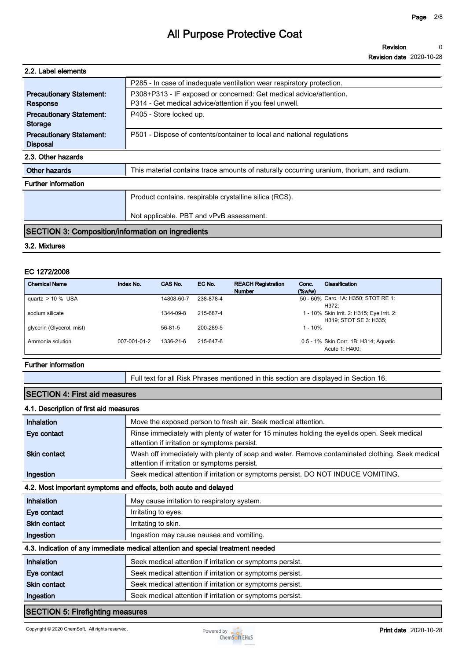| 2.2. Label elements                                      |                                                                                           |
|----------------------------------------------------------|-------------------------------------------------------------------------------------------|
|                                                          | P285 - In case of inadequate ventilation wear respiratory protection.                     |
| <b>Precautionary Statement:</b>                          | P308+P313 - IF exposed or concerned: Get medical advice/attention.                        |
| Response                                                 | P314 - Get medical advice/attention if you feel unwell.                                   |
| <b>Precautionary Statement:</b>                          | P405 - Store locked up.                                                                   |
| <b>Storage</b>                                           |                                                                                           |
| <b>Precautionary Statement:</b>                          | P501 - Dispose of contents/container to local and national regulations                    |
| <b>Disposal</b>                                          |                                                                                           |
| 2.3. Other hazards                                       |                                                                                           |
| Other hazards                                            | This material contains trace amounts of naturally occurring uranium, thorium, and radium. |
| <b>Further information</b>                               |                                                                                           |
|                                                          | Product contains. respirable crystalline silica (RCS).                                    |
|                                                          |                                                                                           |
|                                                          | Not applicable. PBT and vPvB assessment.                                                  |
| <b>SECTION 3: Composition/information on ingredients</b> |                                                                                           |

#### **3.2. Mixtures**

#### **EC 1272/2008**

| <b>Chemical Name</b>      | Index No.    | CAS No.       | EC No.    | <b>REACH Registration</b><br><b>Number</b> | Conc.<br>$(\%w/w)$ | Classification                                                       |
|---------------------------|--------------|---------------|-----------|--------------------------------------------|--------------------|----------------------------------------------------------------------|
| quartz $> 10$ % USA       |              | 14808-60-7    | 238-878-4 |                                            |                    | 50 - 60% Carc. 1A: H350; STOT RE 1:<br>H372:                         |
| sodium silicate           |              | 1344-09-8     | 215-687-4 |                                            |                    | 1 - 10% Skin Irrit. 2: H315; Eye Irrit. 2:<br>H319; STOT SE 3: H335; |
| glycerin (Glycerol, mist) |              | $56 - 81 - 5$ | 200-289-5 |                                            | $1 - 10\%$         |                                                                      |
| Ammonia solution          | 007-001-01-2 | 1336-21-6     | 215-647-6 |                                            |                    | 0.5 - 1% Skin Corr. 1B: H314; Aguatic<br>Acute 1: H400:              |

#### **Further information**

**Full text for all Risk Phrases mentioned in this section are displayed in Section 16.**

#### **SECTION 4: First aid measures**

#### **4.1. Description of first aid measures**

| Inhalation          | Move the exposed person to fresh air. Seek medical attention.                                                                                  |
|---------------------|------------------------------------------------------------------------------------------------------------------------------------------------|
| Eye contact         | Rinse immediately with plenty of water for 15 minutes holding the eyelids open. Seek medical<br>attention if irritation or symptoms persist.   |
| <b>Skin contact</b> | Wash off immediately with plenty of soap and water. Remove contaminated clothing. Seek medical<br>attention if irritation or symptoms persist. |
| Ingestion           | Seek medical attention if irritation or symptoms persist. DO NOT INDUCE VOMITING.                                                              |
|                     | 4.2. Most important symptoms and effects, both acute and delayed                                                                               |
| <b>Inhalation</b>   | May cause irritation to respiratory system.                                                                                                    |
| Eye contact         | Irritating to eyes.                                                                                                                            |
| <b>Skin contact</b> | Irritating to skin.                                                                                                                            |
| Ingestion           | Ingestion may cause nausea and vomiting.                                                                                                       |
|                     | 4.3. Indication of any immediate medical attention and special treatment needed                                                                |
| Inhalation          | Seek medical attention if irritation or symptoms persist.                                                                                      |
| Eye contact         | Seek medical attention if irritation or symptoms persist.                                                                                      |
| <b>Skin contact</b> | Seek medical attention if irritation or symptoms persist.                                                                                      |
|                     | Seek medical attention if irritation or symptoms persist.                                                                                      |

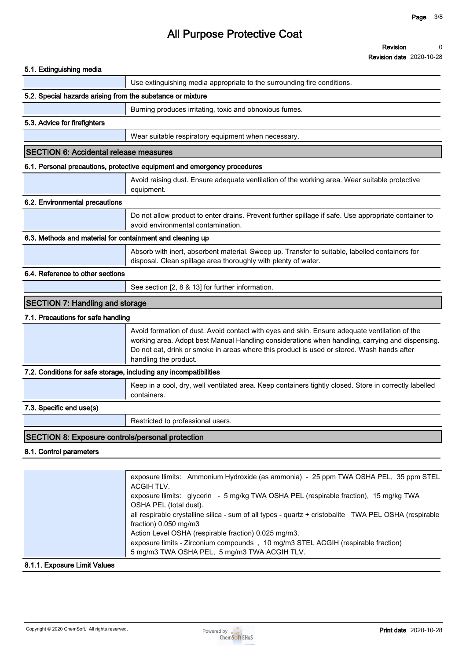| 5.1. Extinguishing media                                          |                                                                                                                                                                                                                                                                                                                                                                                                                 |
|-------------------------------------------------------------------|-----------------------------------------------------------------------------------------------------------------------------------------------------------------------------------------------------------------------------------------------------------------------------------------------------------------------------------------------------------------------------------------------------------------|
|                                                                   | Use extinguishing media appropriate to the surrounding fire conditions.                                                                                                                                                                                                                                                                                                                                         |
| 5.2. Special hazards arising from the substance or mixture        |                                                                                                                                                                                                                                                                                                                                                                                                                 |
|                                                                   | Burning produces irritating, toxic and obnoxious fumes.                                                                                                                                                                                                                                                                                                                                                         |
| 5.3. Advice for firefighters                                      |                                                                                                                                                                                                                                                                                                                                                                                                                 |
|                                                                   | Wear suitable respiratory equipment when necessary.                                                                                                                                                                                                                                                                                                                                                             |
| <b>SECTION 6: Accidental release measures</b>                     |                                                                                                                                                                                                                                                                                                                                                                                                                 |
|                                                                   | 6.1. Personal precautions, protective equipment and emergency procedures                                                                                                                                                                                                                                                                                                                                        |
|                                                                   | Avoid raising dust. Ensure adequate ventilation of the working area. Wear suitable protective<br>equipment.                                                                                                                                                                                                                                                                                                     |
| 6.2. Environmental precautions                                    |                                                                                                                                                                                                                                                                                                                                                                                                                 |
|                                                                   | Do not allow product to enter drains. Prevent further spillage if safe. Use appropriate container to<br>avoid environmental contamination.                                                                                                                                                                                                                                                                      |
| 6.3. Methods and material for containment and cleaning up         |                                                                                                                                                                                                                                                                                                                                                                                                                 |
|                                                                   | Absorb with inert, absorbent material. Sweep up. Transfer to suitable, labelled containers for<br>disposal. Clean spillage area thoroughly with plenty of water.                                                                                                                                                                                                                                                |
| 6.4. Reference to other sections                                  |                                                                                                                                                                                                                                                                                                                                                                                                                 |
|                                                                   | See section [2, 8 & 13] for further information.                                                                                                                                                                                                                                                                                                                                                                |
| <b>SECTION 7: Handling and storage</b>                            |                                                                                                                                                                                                                                                                                                                                                                                                                 |
| 7.1. Precautions for safe handling                                |                                                                                                                                                                                                                                                                                                                                                                                                                 |
|                                                                   | Avoid formation of dust. Avoid contact with eyes and skin. Ensure adequate ventilation of the<br>working area. Adopt best Manual Handling considerations when handling, carrying and dispensing.<br>Do not eat, drink or smoke in areas where this product is used or stored. Wash hands after<br>handling the product.                                                                                         |
| 7.2. Conditions for safe storage, including any incompatibilities |                                                                                                                                                                                                                                                                                                                                                                                                                 |
|                                                                   | Keep in a cool, dry, well ventilated area. Keep containers tightly closed. Store in correctly labelled<br>containers.                                                                                                                                                                                                                                                                                           |
| 7.3. Specific end use(s)                                          |                                                                                                                                                                                                                                                                                                                                                                                                                 |
|                                                                   | Restricted to professional users.                                                                                                                                                                                                                                                                                                                                                                               |
| SECTION 8: Exposure controls/personal protection                  |                                                                                                                                                                                                                                                                                                                                                                                                                 |
| 8.1. Control parameters                                           |                                                                                                                                                                                                                                                                                                                                                                                                                 |
|                                                                   |                                                                                                                                                                                                                                                                                                                                                                                                                 |
|                                                                   | exposure llimits: Ammonium Hydroxide (as ammonia) - 25 ppm TWA OSHA PEL, 35 ppm STEL<br>ACGIH TLV.<br>exposure llimits: glycerin - 5 mg/kg TWA OSHA PEL (respirable fraction), 15 mg/kg TWA<br>OSHA PEL (total dust).<br>all respirable crystalline silica - sum of all types - quartz + cristobalite TWA PEL OSHA (respirable<br>fraction) 0.050 mg/m3<br>Action Level OSHA (respirable fraction) 0.025 mg/m3. |

#### **8.1.1. Exposure Limit Values**



**5 mg/m3 TWA OSHA PEL, 5 mg/m3 TWA ACGIH TLV.**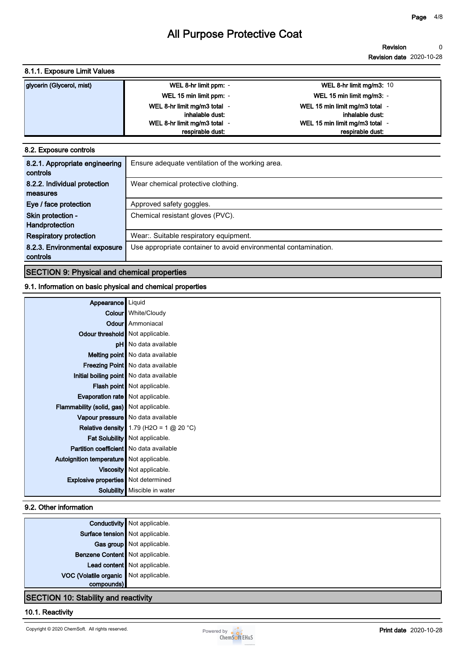#### **8.1.1. Exposure Limit Values**

| glycerin (Glycerol, mist) | WEL 8-hr limit ppm: -        | WEL 8-hr limit mg/m3: $10$     |
|---------------------------|------------------------------|--------------------------------|
|                           | WEL 15 min limit ppm: -      | WEL 15 min limit mg/m3: -      |
|                           | WEL 8-hr limit mg/m3 total - | WEL 15 min limit mg/m3 total - |
|                           | inhalable dust:              | inhalable dust:                |
|                           | WEL 8-hr limit mg/m3 total - | WEL 15 min limit mg/m3 total - |
|                           | respirable dust:             | respirable dust:               |

#### **8.2. Exposure controls**

| 8.2.1. Appropriate engineering | Ensure adequate ventilation of the working area.                |
|--------------------------------|-----------------------------------------------------------------|
| controls                       |                                                                 |
| 8.2.2. Individual protection   | Wear chemical protective clothing.                              |
| measures                       |                                                                 |
| Eye / face protection          | Approved safety goggles.                                        |
| Skin protection -              | Chemical resistant gloves (PVC).                                |
| Handprotection                 |                                                                 |
| <b>Respiratory protection</b>  | Wear: Suitable respiratory equipment.                           |
| 8.2.3. Environmental exposure  | Use appropriate container to avoid environmental contamination. |
| controls                       |                                                                 |

#### **SECTION 9: Physical and chemical properties**

#### **9.1. Information on basic physical and chemical properties**

| Appearance                                     | Liquid                                           |
|------------------------------------------------|--------------------------------------------------|
|                                                | <b>Colour</b> White/Cloudy                       |
|                                                | <b>Odour</b> Ammoniacal                          |
| Odour threshold   Not applicable.              |                                                  |
|                                                | <b>pH</b> No data available                      |
|                                                | Melting point   No data available                |
|                                                | <b>Freezing Point</b> No data available          |
|                                                | Initial boiling point   No data available        |
|                                                | <b>Flash point</b> Not applicable.               |
| <b>Evaporation rate</b> Not applicable.        |                                                  |
| Flammability (solid, gas) Not applicable.      |                                                  |
|                                                | Vapour pressure   No data available              |
|                                                | <b>Relative density</b> 1.79 (H2O = 1 $@$ 20 °C) |
|                                                | Fat Solubility   Not applicable.                 |
| <b>Partition coefficient</b> No data available |                                                  |
| Autoignition temperature   Not applicable.     |                                                  |
|                                                | Viscosity Not applicable.                        |
| <b>Explosive properties</b> Not determined     |                                                  |
|                                                | Solubility   Miscible in water                   |

#### **9.2. Other information**

|                                             | <b>Conductivity</b> Not applicable. |  |
|---------------------------------------------|-------------------------------------|--|
| Surface tension Not applicable.             |                                     |  |
|                                             | Gas group Not applicable.           |  |
| Benzene Content   Not applicable.           |                                     |  |
|                                             | Lead content Not applicable.        |  |
| VOC (Volatile organic Not applicable.       |                                     |  |
| compounds)                                  |                                     |  |
| <b>SECTION 10: Stability and reactivity</b> |                                     |  |

#### **10.1. Reactivity**

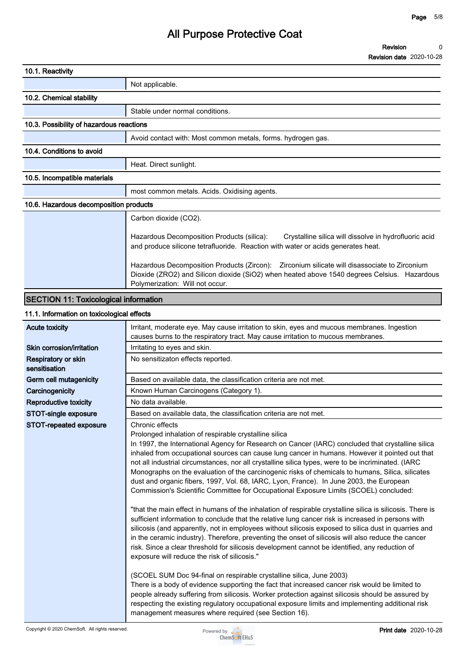#### **Revision Revision date 2020-10-28 0**

| 10.1. Reactivity                             |                                                                                                                                                                                                                                 |
|----------------------------------------------|---------------------------------------------------------------------------------------------------------------------------------------------------------------------------------------------------------------------------------|
|                                              | Not applicable.                                                                                                                                                                                                                 |
| 10.2. Chemical stability                     |                                                                                                                                                                                                                                 |
|                                              | Stable under normal conditions.                                                                                                                                                                                                 |
| 10.3. Possibility of hazardous reactions     |                                                                                                                                                                                                                                 |
|                                              | Avoid contact with: Most common metals, forms, hydrogen gas.                                                                                                                                                                    |
| 10.4. Conditions to avoid                    |                                                                                                                                                                                                                                 |
|                                              | Heat. Direct sunlight.                                                                                                                                                                                                          |
| 10.5. Incompatible materials                 |                                                                                                                                                                                                                                 |
|                                              | most common metals. Acids. Oxidising agents.                                                                                                                                                                                    |
| 10.6. Hazardous decomposition products       |                                                                                                                                                                                                                                 |
|                                              | Carbon dioxide (CO2).                                                                                                                                                                                                           |
|                                              | Hazardous Decomposition Products (silica):<br>Crystalline silica will dissolve in hydrofluoric acid<br>and produce silicone tetrafluoride. Reaction with water or acids generates heat.                                         |
|                                              | Hazardous Decomposition Products (Zircon):  Zirconium silicate will disassociate to Zirconium<br>Dioxide (ZRO2) and Silicon dioxide (SiO2) when heated above 1540 degrees Celsius. Hazardous<br>Polymerization: Will not occur. |
| <b>SECTION 11: Toxicological information</b> |                                                                                                                                                                                                                                 |
| 11.1. Information on toxicological effects   |                                                                                                                                                                                                                                 |
| <b>Acute toxicity</b>                        | Irritant, moderate eye. May cause irritation to skin, eyes and mucous membranes. Ingestion<br>causes burns to the respiratory tract. May cause irritation to mucous membranes.                                                  |
| Skin corrosion/irritation                    | Irritating to eyes and skin.                                                                                                                                                                                                    |

| Skin corrosion/irritation                   | Irritating to eyes and skin.                                                                                                                                                                                                                                                                                                                                                                                                                                                                                                                                                                                                                                                                                                                                                                                                                                                                                                                                                                                                                                                                                                                                                                                                                                                                                                                                                                                                                                                                                                                                                                                                                                                                                |
|---------------------------------------------|-------------------------------------------------------------------------------------------------------------------------------------------------------------------------------------------------------------------------------------------------------------------------------------------------------------------------------------------------------------------------------------------------------------------------------------------------------------------------------------------------------------------------------------------------------------------------------------------------------------------------------------------------------------------------------------------------------------------------------------------------------------------------------------------------------------------------------------------------------------------------------------------------------------------------------------------------------------------------------------------------------------------------------------------------------------------------------------------------------------------------------------------------------------------------------------------------------------------------------------------------------------------------------------------------------------------------------------------------------------------------------------------------------------------------------------------------------------------------------------------------------------------------------------------------------------------------------------------------------------------------------------------------------------------------------------------------------------|
| <b>Respiratory or skin</b><br>sensitisation | No sensitizaton effects reported.                                                                                                                                                                                                                                                                                                                                                                                                                                                                                                                                                                                                                                                                                                                                                                                                                                                                                                                                                                                                                                                                                                                                                                                                                                                                                                                                                                                                                                                                                                                                                                                                                                                                           |
| Germ cell mutagenicity                      | Based on available data, the classification criteria are not met.                                                                                                                                                                                                                                                                                                                                                                                                                                                                                                                                                                                                                                                                                                                                                                                                                                                                                                                                                                                                                                                                                                                                                                                                                                                                                                                                                                                                                                                                                                                                                                                                                                           |
| Carcinogenicity                             | Known Human Carcinogens (Category 1).                                                                                                                                                                                                                                                                                                                                                                                                                                                                                                                                                                                                                                                                                                                                                                                                                                                                                                                                                                                                                                                                                                                                                                                                                                                                                                                                                                                                                                                                                                                                                                                                                                                                       |
| <b>Reproductive toxicity</b>                | No data available.                                                                                                                                                                                                                                                                                                                                                                                                                                                                                                                                                                                                                                                                                                                                                                                                                                                                                                                                                                                                                                                                                                                                                                                                                                                                                                                                                                                                                                                                                                                                                                                                                                                                                          |
| STOT-single exposure                        | Based on available data, the classification criteria are not met.                                                                                                                                                                                                                                                                                                                                                                                                                                                                                                                                                                                                                                                                                                                                                                                                                                                                                                                                                                                                                                                                                                                                                                                                                                                                                                                                                                                                                                                                                                                                                                                                                                           |
| STOT-repeated exposure                      | Chronic effects<br>Prolonged inhalation of respirable crystalline silica<br>In 1997, the International Agency for Research on Cancer (IARC) concluded that crystalline silica<br>inhaled from occupational sources can cause lung cancer in humans. However it pointed out that<br>not all industrial circumstances, nor all crystalline silica types, were to be incriminated. (IARC<br>Monographs on the evaluation of the carcinogenic risks of chemicals to humans, Silica, silicates<br>dust and organic fibers, 1997, Vol. 68, IARC, Lyon, France). In June 2003, the European<br>Commission's Scientific Committee for Occupational Exposure Limits (SCOEL) concluded:<br>"that the main effect in humans of the inhalation of respirable crystalline silica is silicosis. There is<br>sufficient information to conclude that the relative lung cancer risk is increased in persons with<br>silicosis (and apparently, not in employees without silicosis exposed to silica dust in quarries and<br>in the ceramic industry). Therefore, preventing the onset of silicosis will also reduce the cancer<br>risk. Since a clear threshold for silicosis development cannot be identified, any reduction of<br>exposure will reduce the risk of silicosis."<br>(SCOEL SUM Doc 94-final on respirable crystalline silica, June 2003)<br>There is a body of evidence supporting the fact that increased cancer risk would be limited to<br>people already suffering from silicosis. Worker protection against silicosis should be assured by<br>respecting the existing regulatory occupational exposure limits and implementing additional risk<br>management measures where required (see Section 16). |

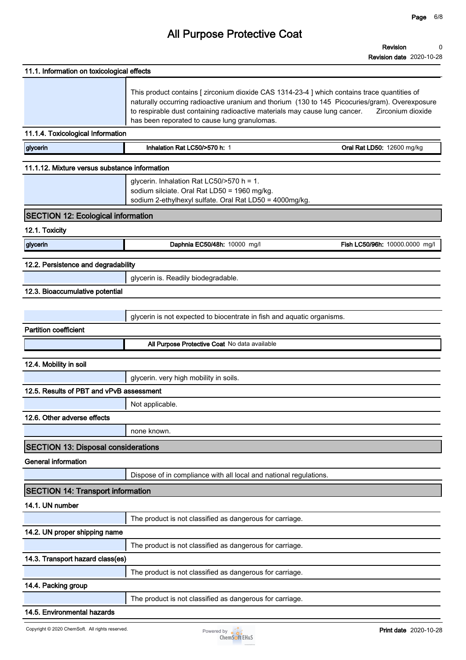| 11.1. Information on toxicological effects    |                                                                                                                                                                                                                                                                                                                              |                                |
|-----------------------------------------------|------------------------------------------------------------------------------------------------------------------------------------------------------------------------------------------------------------------------------------------------------------------------------------------------------------------------------|--------------------------------|
|                                               | This product contains [ zirconium dioxide CAS 1314-23-4 ] which contains trace quantities of<br>naturally occurring radioactive uranium and thorium (130 to 145 Picocuries/gram). Overexposure<br>to respirable dust containing radioactive materials may cause lung cancer.<br>has been reporated to cause lung granulomas. | Zirconium dioxide              |
| 11.1.4. Toxicological Information             |                                                                                                                                                                                                                                                                                                                              |                                |
| glycerin                                      | Inhalation Rat LC50/>570 h: 1                                                                                                                                                                                                                                                                                                | Oral Rat LD50: 12600 mg/kg     |
| 11.1.12. Mixture versus substance information |                                                                                                                                                                                                                                                                                                                              |                                |
|                                               | glycerin. Inhalation Rat LC50/>570 h = 1.<br>sodium silciate. Oral Rat LD50 = 1960 mg/kg.<br>sodium 2-ethylhexyl sulfate. Oral Rat LD50 = 4000mg/kg.                                                                                                                                                                         |                                |
| <b>SECTION 12: Ecological information</b>     |                                                                                                                                                                                                                                                                                                                              |                                |
| 12.1. Toxicity                                |                                                                                                                                                                                                                                                                                                                              |                                |
| glycerin                                      | Daphnia EC50/48h: 10000 mg/l                                                                                                                                                                                                                                                                                                 | Fish LC50/96h: 10000.0000 mg/l |
| 12.2. Persistence and degradability           |                                                                                                                                                                                                                                                                                                                              |                                |
|                                               | glycerin is. Readily biodegradable.                                                                                                                                                                                                                                                                                          |                                |
| 12.3. Bioaccumulative potential               |                                                                                                                                                                                                                                                                                                                              |                                |
|                                               |                                                                                                                                                                                                                                                                                                                              |                                |
|                                               | glycerin is not expected to biocentrate in fish and aquatic organisms.                                                                                                                                                                                                                                                       |                                |
| <b>Partition coefficient</b>                  |                                                                                                                                                                                                                                                                                                                              |                                |
|                                               | All Purpose Protective Coat No data available                                                                                                                                                                                                                                                                                |                                |
| 12.4. Mobility in soil                        |                                                                                                                                                                                                                                                                                                                              |                                |
|                                               | glycerin. very high mobility in soils.                                                                                                                                                                                                                                                                                       |                                |
| 12.5. Results of PBT and vPvB assessment      |                                                                                                                                                                                                                                                                                                                              |                                |
|                                               | Not applicable.                                                                                                                                                                                                                                                                                                              |                                |
| 12.6. Other adverse effects                   |                                                                                                                                                                                                                                                                                                                              |                                |
|                                               | none known.                                                                                                                                                                                                                                                                                                                  |                                |
| <b>SECTION 13: Disposal considerations</b>    |                                                                                                                                                                                                                                                                                                                              |                                |
| <b>General information</b>                    |                                                                                                                                                                                                                                                                                                                              |                                |
|                                               | Dispose of in compliance with all local and national regulations.                                                                                                                                                                                                                                                            |                                |
| <b>SECTION 14: Transport information</b>      |                                                                                                                                                                                                                                                                                                                              |                                |
| 14.1. UN number                               |                                                                                                                                                                                                                                                                                                                              |                                |
|                                               | The product is not classified as dangerous for carriage.                                                                                                                                                                                                                                                                     |                                |
| 14.2. UN proper shipping name                 |                                                                                                                                                                                                                                                                                                                              |                                |
|                                               | The product is not classified as dangerous for carriage.                                                                                                                                                                                                                                                                     |                                |
| 14.3. Transport hazard class(es)              |                                                                                                                                                                                                                                                                                                                              |                                |
|                                               | The product is not classified as dangerous for carriage.                                                                                                                                                                                                                                                                     |                                |
| 14.4. Packing group                           |                                                                                                                                                                                                                                                                                                                              |                                |
|                                               | The product is not classified as dangerous for carriage.                                                                                                                                                                                                                                                                     |                                |

#### **14.5. Environmental hazards**

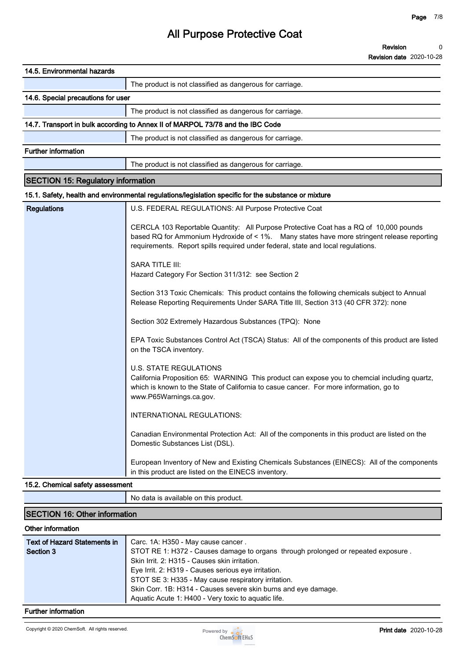| 14.5. Environmental hazards               |                                                                                                                                                                                                                                                                         |
|-------------------------------------------|-------------------------------------------------------------------------------------------------------------------------------------------------------------------------------------------------------------------------------------------------------------------------|
|                                           | The product is not classified as dangerous for carriage.                                                                                                                                                                                                                |
| 14.6. Special precautions for user        |                                                                                                                                                                                                                                                                         |
|                                           | The product is not classified as dangerous for carriage.                                                                                                                                                                                                                |
|                                           | 14.7. Transport in bulk according to Annex II of MARPOL 73/78 and the IBC Code                                                                                                                                                                                          |
|                                           | The product is not classified as dangerous for carriage.                                                                                                                                                                                                                |
| <b>Further information</b>                |                                                                                                                                                                                                                                                                         |
|                                           | The product is not classified as dangerous for carriage.                                                                                                                                                                                                                |
| <b>SECTION 15: Regulatory information</b> |                                                                                                                                                                                                                                                                         |
|                                           | 15.1. Safety, health and environmental regulations/legislation specific for the substance or mixture                                                                                                                                                                    |
| <b>Regulations</b>                        | U.S. FEDERAL REGULATIONS: All Purpose Protective Coat                                                                                                                                                                                                                   |
|                                           | CERCLA 103 Reportable Quantity: All Purpose Protective Coat has a RQ of 10,000 pounds<br>based RQ for Ammonium Hydroxide of < 1%. Many states have more stringent release reporting<br>requirements. Report spills required under federal, state and local regulations. |
|                                           | <b>SARA TITLE III:</b><br>Hazard Category For Section 311/312: see Section 2                                                                                                                                                                                            |
|                                           | Section 313 Toxic Chemicals: This product contains the following chemicals subject to Annual<br>Release Reporting Requirements Under SARA Title III, Section 313 (40 CFR 372): none                                                                                     |
|                                           | Section 302 Extremely Hazardous Substances (TPQ): None                                                                                                                                                                                                                  |
|                                           | EPA Toxic Substances Control Act (TSCA) Status: All of the components of this product are listed<br>on the TSCA inventory.                                                                                                                                              |
|                                           | <b>U.S. STATE REGULATIONS</b><br>California Proposition 65: WARNING This product can expose you to chemcial including quartz,<br>which is known to the State of California to casue cancer. For more information, go to<br>www.P65Warnings.ca.gov.                      |
|                                           | INTERNATIONAL REGULATIONS:                                                                                                                                                                                                                                              |
|                                           | Canadian Environmental Protection Act: All of the components in this product are listed on the<br>Domestic Substances List (DSL).                                                                                                                                       |
|                                           | European Inventory of New and Existing Chemicals Substances (EINECS): All of the components<br>in this product are listed on the EINECS inventory.                                                                                                                      |

#### **15.2. Chemical safety assessment**

**No data is available on this product.**

### **SECTION 16: Other information Other information Text of Hazard Statements in Section 3 Carc. 1A: H350 - May cause cancer . STOT RE 1: H372 - Causes damage to organs through prolonged or repeated exposure . Skin Irrit. 2: H315 - Causes skin irritation. Eye Irrit. 2: H319 - Causes serious eye irritation. STOT SE 3: H335 - May cause respiratory irritation. Skin Corr. 1B: H314 - Causes severe skin burns and eye damage. Aquatic Acute 1: H400 - Very toxic to aquatic life.**

#### **Further information**